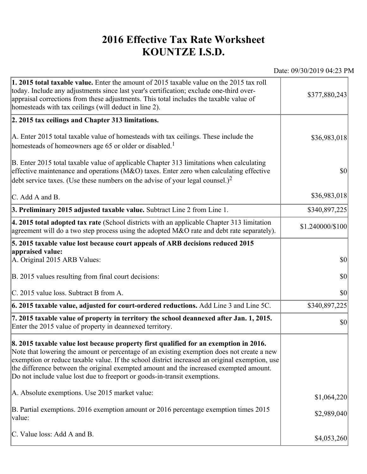## **2016 Effective Tax Rate Worksheet KOUNTZE I.S.D.**

Date: 09/30/2019 04:23 PM

| 1. 2015 total taxable value. Enter the amount of 2015 taxable value on the 2015 tax roll<br>today. Include any adjustments since last year's certification; exclude one-third over-<br>appraisal corrections from these adjustments. This total includes the taxable value of<br>homesteads with tax ceilings (will deduct in line 2).                                                                                                                       | \$377,880,243    |
|--------------------------------------------------------------------------------------------------------------------------------------------------------------------------------------------------------------------------------------------------------------------------------------------------------------------------------------------------------------------------------------------------------------------------------------------------------------|------------------|
| 2. 2015 tax ceilings and Chapter 313 limitations.                                                                                                                                                                                                                                                                                                                                                                                                            |                  |
| A. Enter 2015 total taxable value of homesteads with tax ceilings. These include the<br>homesteads of homeowners age 65 or older or disabled. <sup>1</sup>                                                                                                                                                                                                                                                                                                   | \$36,983,018     |
| B. Enter 2015 total taxable value of applicable Chapter 313 limitations when calculating<br>effective maintenance and operations ( $M&O$ ) taxes. Enter zero when calculating effective<br>debt service taxes. (Use these numbers on the advise of your legal counsel.) <sup>2</sup>                                                                                                                                                                         | $ 10\rangle$     |
| C. Add A and B.                                                                                                                                                                                                                                                                                                                                                                                                                                              | \$36,983,018     |
| 3. Preliminary 2015 adjusted taxable value. Subtract Line 2 from Line 1.                                                                                                                                                                                                                                                                                                                                                                                     | \$340,897,225    |
| 4. 2015 total adopted tax rate (School districts with an applicable Chapter 313 limitation<br>agreement will do a two step process using the adopted $M&O$ rate and debt rate separately).                                                                                                                                                                                                                                                                   | \$1.240000/\$100 |
| 5. 2015 taxable value lost because court appeals of ARB decisions reduced 2015                                                                                                                                                                                                                                                                                                                                                                               |                  |
| appraised value:<br>A. Original 2015 ARB Values:                                                                                                                                                                                                                                                                                                                                                                                                             | $ 10\rangle$     |
| B. 2015 values resulting from final court decisions:                                                                                                                                                                                                                                                                                                                                                                                                         | \$0              |
| C. 2015 value loss. Subtract B from A.                                                                                                                                                                                                                                                                                                                                                                                                                       | $ 10\rangle$     |
| $\vert$ 6. 2015 taxable value, adjusted for court-ordered reductions. Add Line 3 and Line 5C.                                                                                                                                                                                                                                                                                                                                                                | \$340,897,225    |
| 7. 2015 taxable value of property in territory the school deannexed after Jan. 1, 2015.<br>Enter the 2015 value of property in deannexed territory.                                                                                                                                                                                                                                                                                                          | $ 10\rangle$     |
| 8. 2015 taxable value lost because property first qualified for an exemption in 2016.<br>Note that lowering the amount or percentage of an existing exemption does not create a new<br>exemption or reduce taxable value. If the school district increased an original exemption, use<br>the difference between the original exempted amount and the increased exempted amount.<br>Do not include value lost due to freeport or goods-in-transit exemptions. |                  |
| A. Absolute exemptions. Use 2015 market value:                                                                                                                                                                                                                                                                                                                                                                                                               | \$1,064,220      |
| B. Partial exemptions. 2016 exemption amount or 2016 percentage exemption times 2015<br>value:                                                                                                                                                                                                                                                                                                                                                               | \$2,989,040      |
| C. Value loss: Add A and B.                                                                                                                                                                                                                                                                                                                                                                                                                                  | \$4,053,260      |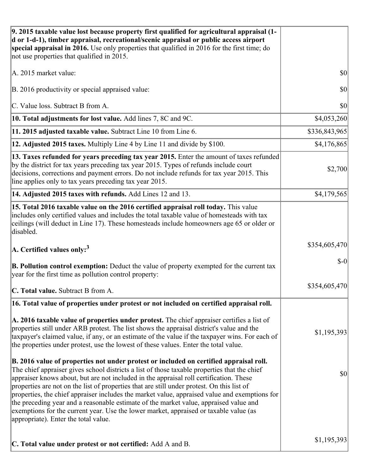| 9. 2015 taxable value lost because property first qualified for agricultural appraisal (1-<br>d or 1-d-1), timber appraisal, recreational/scenic appraisal or public access airport<br>special appraisal in 2016. Use only properties that qualified in 2016 for the first time; do<br>not use properties that qualified in 2015.                                                                                                                                                                                                                                                                                                                                                                         |               |
|-----------------------------------------------------------------------------------------------------------------------------------------------------------------------------------------------------------------------------------------------------------------------------------------------------------------------------------------------------------------------------------------------------------------------------------------------------------------------------------------------------------------------------------------------------------------------------------------------------------------------------------------------------------------------------------------------------------|---------------|
| A. 2015 market value:                                                                                                                                                                                                                                                                                                                                                                                                                                                                                                                                                                                                                                                                                     | \$0           |
| B. 2016 productivity or special appraised value:                                                                                                                                                                                                                                                                                                                                                                                                                                                                                                                                                                                                                                                          | 30            |
| C. Value loss. Subtract B from A.                                                                                                                                                                                                                                                                                                                                                                                                                                                                                                                                                                                                                                                                         | \$0           |
| 10. Total adjustments for lost value. Add lines 7, 8C and 9C.                                                                                                                                                                                                                                                                                                                                                                                                                                                                                                                                                                                                                                             | \$4,053,260   |
| 11. 2015 adjusted taxable value. Subtract Line 10 from Line 6.                                                                                                                                                                                                                                                                                                                                                                                                                                                                                                                                                                                                                                            | \$336,843,965 |
| 12. Adjusted 2015 taxes. Multiply Line 4 by Line 11 and divide by \$100.                                                                                                                                                                                                                                                                                                                                                                                                                                                                                                                                                                                                                                  | \$4,176,865   |
| 13. Taxes refunded for years preceding tax year 2015. Enter the amount of taxes refunded<br>by the district for tax years preceding tax year 2015. Types of refunds include court<br>decisions, corrections and payment errors. Do not include refunds for tax year 2015. This<br>line applies only to tax years preceding tax year 2015.                                                                                                                                                                                                                                                                                                                                                                 | \$2,700       |
| 14. Adjusted 2015 taxes with refunds. Add Lines 12 and 13.                                                                                                                                                                                                                                                                                                                                                                                                                                                                                                                                                                                                                                                | \$4,179,565   |
| 15. Total 2016 taxable value on the 2016 certified appraisal roll today. This value<br>includes only certified values and includes the total taxable value of homesteads with tax<br>ceilings (will deduct in Line 17). These homesteads include homeowners age 65 or older or<br>disabled.                                                                                                                                                                                                                                                                                                                                                                                                               |               |
| A. Certified values only: <sup>3</sup>                                                                                                                                                                                                                                                                                                                                                                                                                                                                                                                                                                                                                                                                    | \$354,605,470 |
| <b>B. Pollution control exemption:</b> Deduct the value of property exempted for the current tax<br>year for the first time as pollution control property:                                                                                                                                                                                                                                                                                                                                                                                                                                                                                                                                                | $$-0$         |
| C. Total value. Subtract B from A.                                                                                                                                                                                                                                                                                                                                                                                                                                                                                                                                                                                                                                                                        | \$354,605,470 |
| 16. Total value of properties under protest or not included on certified appraisal roll.                                                                                                                                                                                                                                                                                                                                                                                                                                                                                                                                                                                                                  |               |
| A. 2016 taxable value of properties under protest. The chief appraiser certifies a list of<br>properties still under ARB protest. The list shows the appraisal district's value and the<br>taxpayer's claimed value, if any, or an estimate of the value if the taxpayer wins. For each of<br>the properties under protest, use the lowest of these values. Enter the total value.                                                                                                                                                                                                                                                                                                                        | \$1,195,393   |
| B. 2016 value of properties not under protest or included on certified appraisal roll.<br>The chief appraiser gives school districts a list of those taxable properties that the chief<br>appraiser knows about, but are not included in the appraisal roll certification. These<br>properties are not on the list of properties that are still under protest. On this list of<br>properties, the chief appraiser includes the market value, appraised value and exemptions for<br>the preceding year and a reasonable estimate of the market value, appraised value and<br>exemptions for the current year. Use the lower market, appraised or taxable value (as<br>appropriate). Enter the total value. | \$0           |
| C. Total value under protest or not certified: Add A and B.                                                                                                                                                                                                                                                                                                                                                                                                                                                                                                                                                                                                                                               | \$1,195,393   |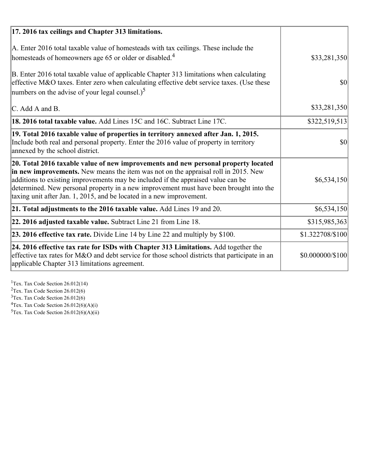| 17. 2016 tax ceilings and Chapter 313 limitations.                                                                                                                                                                                                                                                                                                                                                                             |                  |
|--------------------------------------------------------------------------------------------------------------------------------------------------------------------------------------------------------------------------------------------------------------------------------------------------------------------------------------------------------------------------------------------------------------------------------|------------------|
| A. Enter 2016 total taxable value of homesteads with tax ceilings. These include the<br>homesteads of homeowners age 65 or older or disabled. <sup>4</sup>                                                                                                                                                                                                                                                                     | \$33,281,350     |
| B. Enter 2016 total taxable value of applicable Chapter 313 limitations when calculating<br>effective M&O taxes. Enter zero when calculating effective debt service taxes. (Use these<br>numbers on the advise of your legal counsel.) <sup>5</sup>                                                                                                                                                                            | $\vert$ \$0      |
| C. Add A and B.                                                                                                                                                                                                                                                                                                                                                                                                                | \$33,281,350     |
| <b>18. 2016 total taxable value.</b> Add Lines 15C and 16C. Subtract Line 17C.                                                                                                                                                                                                                                                                                                                                                 | \$322,519,513    |
| 19. Total 2016 taxable value of properties in territory annexed after Jan. 1, 2015.<br>Include both real and personal property. Enter the 2016 value of property in territory<br>annexed by the school district.                                                                                                                                                                                                               | 30               |
| 20. Total 2016 taxable value of new improvements and new personal property located<br>in new improvements. New means the item was not on the appraisal roll in 2015. New<br>additions to existing improvements may be included if the appraised value can be<br>determined. New personal property in a new improvement must have been brought into the<br>taxing unit after Jan. 1, 2015, and be located in a new improvement. | \$6,534,150      |
| 21. Total adjustments to the 2016 taxable value. Add Lines 19 and 20.                                                                                                                                                                                                                                                                                                                                                          | \$6,534,150      |
| 22. 2016 adjusted taxable value. Subtract Line 21 from Line 18.                                                                                                                                                                                                                                                                                                                                                                | \$315,985,363    |
| 23. 2016 effective tax rate. Divide Line 14 by Line 22 and multiply by \$100.                                                                                                                                                                                                                                                                                                                                                  | \$1.322708/\$100 |
| 24. 2016 effective tax rate for ISDs with Chapter 313 Limitations. Add together the<br>effective tax rates for M&O and debt service for those school districts that participate in an<br>applicable Chapter 313 limitations agreement.                                                                                                                                                                                         | \$0.000000/\$100 |

<sup>1</sup>Tex. Tax Code Section 26.012(14)  $2$ Tex. Tax Code Section 26.012(6)  $3$ Tex. Tax Code Section 26.012(6)  ${}^{4}$ Tex. Tax Code Section 26.012(6)(A)(i)

 $5$ Tex. Tax Code Section 26.012(6)(A)(ii)